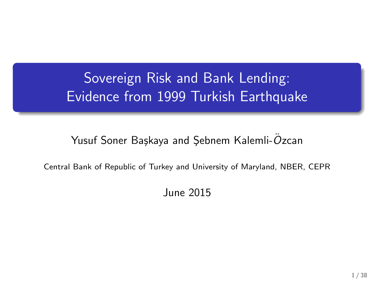# Sovereign Risk and Bank Lending: Evidence from 1999 Turkish Earthquake

### Yusuf Soner Başkaya and Şebnem Kalemli-Özcan

Central Bank of Republic of Turkey and University of Maryland, NBER, CEPR

June 2015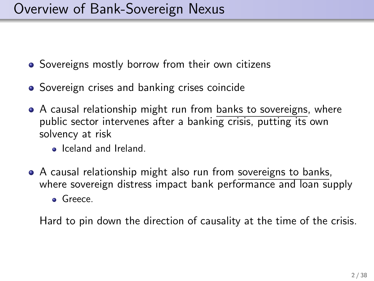- Sovereigns mostly borrow from their own citizens
- Sovereign crises and banking crises coincide
- A causal relationship might run from banks to sovereigns, where public sector intervenes after a banking crisis, putting its own solvency at risk
	- **•** Iceland and Ireland.
- A causal relationship might also run from sovereigns to banks, where sovereign distress impact bank performance and loan supply **•** Greece.

Hard to pin down the direction of causality at the time of the crisis.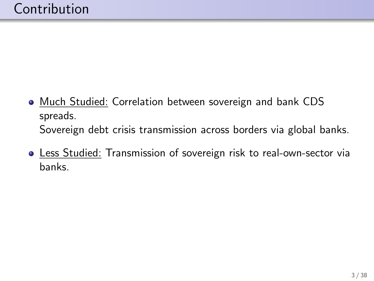- Much Studied: Correlation between sovereign and bank CDS spreads. Sovereign debt crisis transmission across borders via global banks.
- Less Studied: Transmission of sovereign risk to real-own-sector via banks.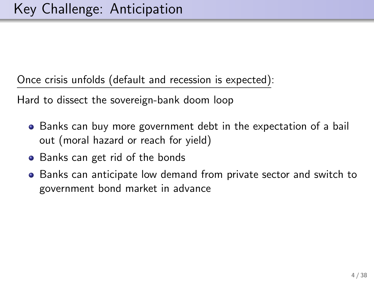Once crisis unfolds (default and recession is expected):

Hard to dissect the sovereign-bank doom loop

- Banks can buy more government debt in the expectation of a bail out (moral hazard or reach for yield)
- Banks can get rid of the bonds
- Banks can anticipate low demand from private sector and switch to government bond market in advance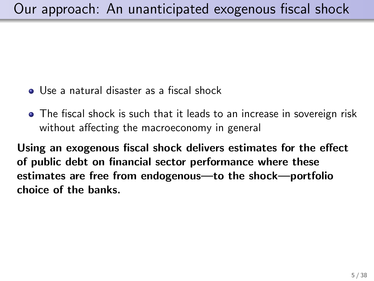- Use a natural disaster as a fiscal shock
- The fiscal shock is such that it leads to an increase in sovereign risk without affecting the macroeconomy in general

Using an exogenous fiscal shock delivers estimates for the effect of public debt on financial sector performance where these estimates are free from endogenous—to the shock—portfolio choice of the banks.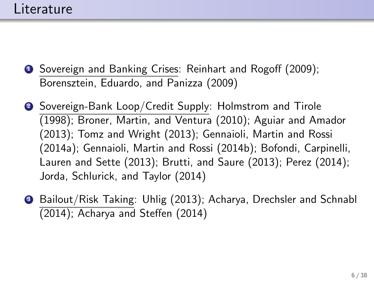- **1** Sovereign and Banking Crises: Reinhart and Rogoff (2009); Borensztein, Eduardo, and Panizza (2009)
- <sup>2</sup> Sovereign-Bank Loop/Credit Supply: Holmstrom and Tirole (1998); Broner, Martin, and Ventura (2010); Aguiar and Amador (2013); Tomz and Wright (2013); Gennaioli, Martin and Rossi (2014a); Gennaioli, Martin and Rossi (2014b); Bofondi, Carpinelli, Lauren and Sette (2013); Brutti, and Saure (2013); Perez (2014); Jorda, Schlurick, and Taylor (2014)
- **3** Bailout/Risk Taking: Uhlig (2013); Acharya, Drechsler and Schnabl (2014); Acharya and Steffen (2014)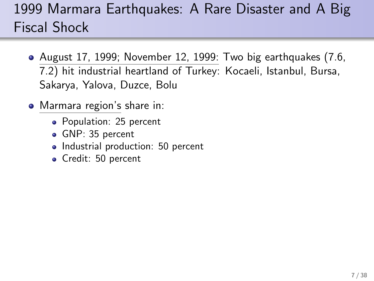- August 17, 1999; November 12, 1999: Two big earthquakes (7.6, 7.2) hit industrial heartland of Turkey: Kocaeli, Istanbul, Bursa, Sakarya, Yalova, Duzce, Bolu
- Marmara region's share in:
	- Population: 25 percent
	- GNP: 35 percent
	- Industrial production: 50 percent
	- Credit: 50 percent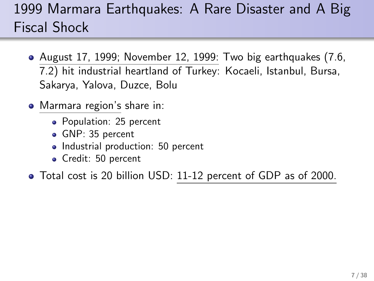- August 17, 1999; November 12, 1999: Two big earthquakes (7.6, 7.2) hit industrial heartland of Turkey: Kocaeli, Istanbul, Bursa, Sakarya, Yalova, Duzce, Bolu
- Marmara region's share in:
	- Population: 25 percent
	- GNP: 35 percent
	- Industrial production: 50 percent
	- Credit: 50 percent

Total cost is 20 billion USD: 11-12 percent of GDP as of 2000.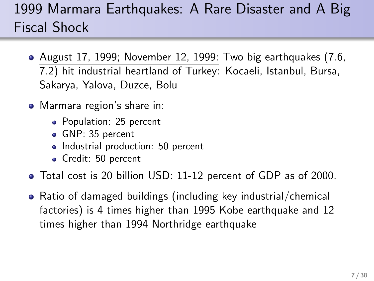- August 17, 1999; November 12, 1999: Two big earthquakes (7.6, 7.2) hit industrial heartland of Turkey: Kocaeli, Istanbul, Bursa, Sakarya, Yalova, Duzce, Bolu
- Marmara region's share in:
	- Population: 25 percent
	- GNP: 35 percent
	- Industrial production: 50 percent
	- Credit: 50 percent
- Total cost is 20 billion USD: 11-12 percent of GDP as of 2000.
- Ratio of damaged buildings (including key industrial/chemical factories) is 4 times higher than 1995 Kobe earthquake and 12 times higher than 1994 Northridge earthquake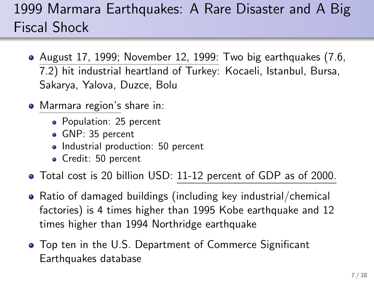- August 17, 1999; November 12, 1999: Two big earthquakes (7.6, 7.2) hit industrial heartland of Turkey: Kocaeli, Istanbul, Bursa, Sakarya, Yalova, Duzce, Bolu
- Marmara region's share in:
	- Population: 25 percent
	- GNP: 35 percent
	- Industrial production: 50 percent
	- Credit: 50 percent
- Total cost is 20 billion USD: 11-12 percent of GDP as of 2000.
- Ratio of damaged buildings (including key industrial/chemical factories) is 4 times higher than 1995 Kobe earthquake and 12 times higher than 1994 Northridge earthquake
- Top ten in the U.S. Department of Commerce Significant Earthquakes database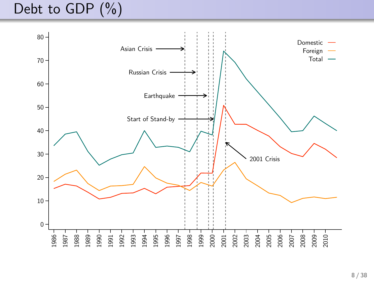Debt to GDP (%)

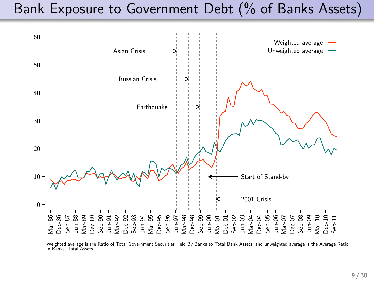# Bank Exposure to Government Debt (% of Banks Assets)



Weighted average is the Ratio of Total Government Securities Held By Banks to Total Bank Assets, and unweighted average is the Average Ratio in Banks' Total Assets.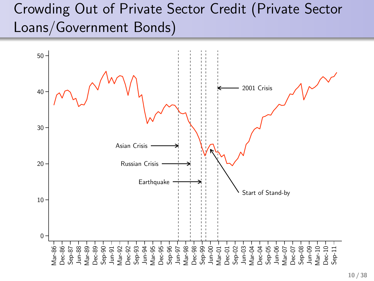# Crowding Out of Private Sector Credit (Private Sector Loans/Government Bonds)

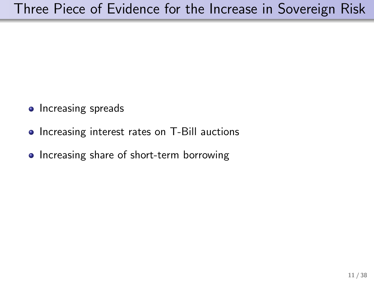- Increasing spreads
- Increasing interest rates on T-Bill auctions
- Increasing share of short-term borrowing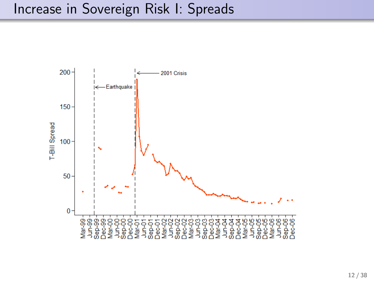## Increase in Sovereign Risk I: Spreads

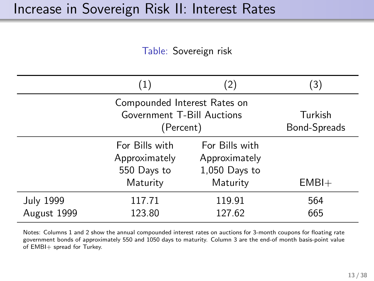### Increase in Sovereign Risk II: Interest Rates

#### Table: Sovereign risk

|                  | (1)                               | $\left( 2\right)$ | (3)          |
|------------------|-----------------------------------|-------------------|--------------|
|                  | Compounded Interest Rates on      |                   |              |
|                  | <b>Government T-Bill Auctions</b> |                   | Turkish      |
|                  | (Percent)                         |                   | Bond-Spreads |
|                  | For Bills with                    | For Bills with    |              |
|                  | Approximately                     | Approximately     |              |
|                  | 550 Days to                       | $1,050$ Days to   |              |
|                  | Maturity                          | Maturity          | $EMBI+$      |
| <b>July 1999</b> | 117.71                            | 119.91            | 564          |
| August 1999      | 123.80                            | 127.62            | 665          |

Notes: Columns 1 and 2 show the annual compounded interest rates on auctions for 3-month coupons for floating rate government bonds of approximately 550 and 1050 days to maturity. Column 3 are the end-of month basis-point value of EMBI+ spread for Turkey.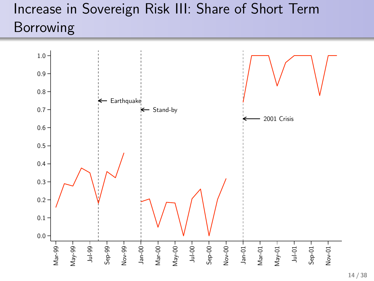# Increase in Sovereign Risk III: Share of Short Term Borrowing

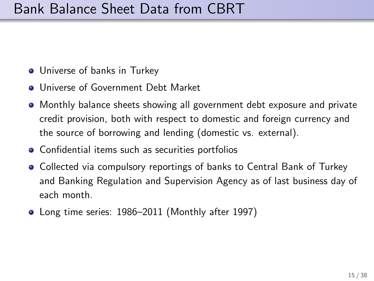- **•** Universe of banks in Turkey
- **O** Universe of Government Debt Market
- Monthly balance sheets showing all government debt exposure and private credit provision, both with respect to domestic and foreign currency and the source of borrowing and lending (domestic vs. external).
- **•** Confidential items such as securities portfolios
- Collected via compulsory reportings of banks to Central Bank of Turkey and Banking Regulation and Supervision Agency as of last business day of each month.
- Long time series: 1986–2011 (Monthly after 1997)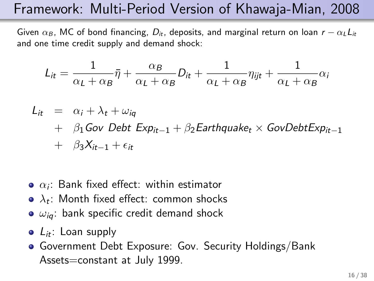## Framework: Multi-Period Version of Khawaja-Mian, 2008

Given  $\alpha_B$ , MC of bond financing,  $D_{it}$ , deposits, and marginal return on loan  $r - \alpha_l L_{it}$ and one time credit supply and demand shock:

$$
L_{it} = \frac{1}{\alpha_L + \alpha_B} \bar{\eta} + \frac{\alpha_B}{\alpha_L + \alpha_B} D_{it} + \frac{1}{\alpha_L + \alpha_B} \eta_{ijt} + \frac{1}{\alpha_L + \alpha_B} \alpha_i
$$

$$
L_{it} = \alpha_i + \lambda_t + \omega_{iq}
$$
  
+  $\beta_1$  Gov Debt Exp<sub>it-1</sub> +  $\beta_2$ Earthquake<sub>t</sub> × GovDebtExp<sub>it-1</sub>  
+  $\beta_3 X_{it-1} + \epsilon_{it}$ 

- $\alpha_i$ : Bank fixed effect: within estimator
- $\lambda_{\textbf{t}}$ : Month fixed effect: common shocks
- $\bullet$   $\omega_{i\sigma}$ : bank specific credit demand shock
- $\bullet$   $L_{it}$ : Loan supply
- **Government Debt Exposure: Gov. Security Holdings/Bank** Assets=constant at July 1999.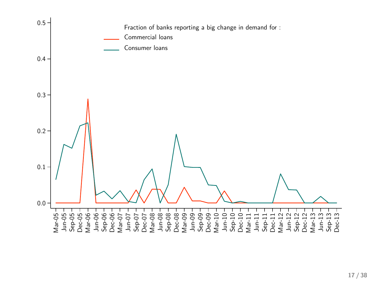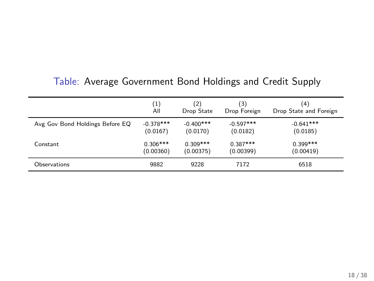|                                 | $^{(1)}$    | (2)         | (3)          | (4)                    |
|---------------------------------|-------------|-------------|--------------|------------------------|
|                                 | All         | Drop State  | Drop Foreign | Drop State and Foreign |
| Avg Gov Bond Holdings Before EQ | $-0.378***$ | $-0.400***$ | $-0.597***$  | $-0.641***$            |
|                                 | (0.0167)    | (0.0170)    | (0.0182)     | (0.0185)               |
| Constant                        | $0.306***$  | $0.309***$  | $0.387***$   | $0.399***$             |
|                                 | (0.00360)   | (0.00375)   | (0.00399)    | (0.00419)              |
| Observations                    | 9882        | 9228        | 7172         | 6518                   |

#### Table: Average Government Bond Holdings and Credit Supply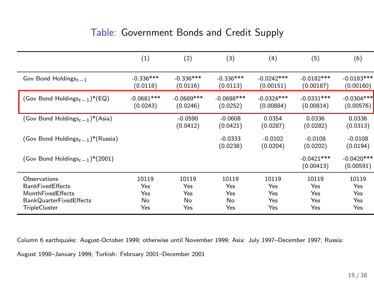#### Table: Government Bonds and Credit Supply

|                                                                                                                        | (1)                              | (2)                              | (3)                              | (4)                               | (5)                               | (6)                               |
|------------------------------------------------------------------------------------------------------------------------|----------------------------------|----------------------------------|----------------------------------|-----------------------------------|-----------------------------------|-----------------------------------|
| Gov Bond Holdings $_{t=1}$                                                                                             | $-0.336***$<br>(0.0118)          | $-0.336***$<br>(0.0116)          | $-0.336***$<br>(0.0113)          | $-0.0242***$<br>(0.00151)         | $-0.0182***$<br>(0.00187)         | $-0.0183***$<br>(0.00160)         |
| (Gov Bond Holdings <sub>t-1</sub> )*(EQ)                                                                               | $-0.0681***$<br>(0.0243)         | $-0.0689***$<br>(0.0246)         | $-0.0698***$<br>(0.0252)         | $-0.0324***$<br>(0.00884)         | $-0.0331***$<br>(0.00814)         | $-0.0304***$<br>(0.00576)         |
| (Gov Bond Holdings <sub>t -1</sub> )*(Asia)                                                                            |                                  | $-0.0590$<br>(0.0412)            | $-0.0608$<br>(0.0421)            | 0.0354<br>(0.0287)                | 0.0336<br>(0.0282)                | 0.0336<br>(0.0313)                |
| (Gov Bond Holdings <sub>t -1</sub> )*(Russia)                                                                          |                                  |                                  | $-0.0333$<br>(0.0238)            | $-0.0102$<br>(0.0204)             | $-0.0108$<br>(0.0202)             | $-0.0108$<br>(0.0194)             |
| (Gov Bond Holdings <sub>t-1</sub> )*(2001)                                                                             |                                  |                                  |                                  |                                   | $-0.0421***$<br>(0.00413)         | $-0.0420***$<br>(0.00591)         |
| Observations<br><b>BankFixedEffects</b><br>MonthFixedEffects<br><b>BankQuarterFixedEffects</b><br><b>TripleCluster</b> | 10119<br>Yes<br>Yes<br>No<br>Yes | 10119<br>Yes<br>Yes<br>No<br>Yes | 10119<br>Yes<br>Yes<br>No<br>Yes | 10119<br>Yes<br>Yes<br>Yes<br>Yes | 10119<br>Yes<br>Yes<br>Yes<br>Yes | 10119<br>Yes<br>Yes<br>Yes<br>Yes |

Column 6 earthquake: August-October 1999; otherwise until November 1999; Asia: July 1997–December 1997; Russia:

August 1998–January 1999; Turkish: February 2001–December 2001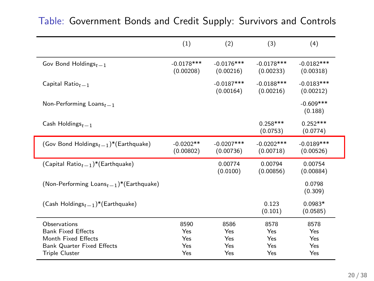|                                                                                                                                | (1)                              | (2)                              | (3)                              | (4)                              |
|--------------------------------------------------------------------------------------------------------------------------------|----------------------------------|----------------------------------|----------------------------------|----------------------------------|
| Gov Bond Holdings $t_{-1}$                                                                                                     | $-0.0178***$<br>(0.00208)        | $-0.0176***$<br>(0.00216)        | $-0.0178***$<br>(0.00233)        | $-0.0182***$<br>(0.00318)        |
| Capital Ratio $_{t=1}$                                                                                                         |                                  | $-0.0187***$<br>(0.00164)        | $-0.0188$ ***<br>(0.00216)       | $-0.0183***$<br>(0.00212)        |
| Non-Performing Loans $_{t=1}$                                                                                                  |                                  |                                  |                                  | $-0.609***$<br>(0.188)           |
| Cash Holdings $t_{-1}$                                                                                                         |                                  |                                  | $0.258***$<br>(0.0753)           | $0.252***$<br>(0.0774)           |
| (Gov Bond Holdings $t-1$ <sup>*</sup> (Earthquake)                                                                             | $-0.0202**$<br>(0.00802)         | $-0.0207$ ***<br>(0.00736)       | $-0.0202$ ***<br>(0.00718)       | $-0.0189***$<br>(0.00526)        |
| (Capital Ratio $_{t-1}$ )*(Earthquake)                                                                                         |                                  | 0.00774<br>(0.0100)              | 0.00794<br>(0.00856)             | 0.00754<br>(0.00884)             |
| (Non-Performing Loans <sub>t -1</sub> )*(Earthquake)                                                                           |                                  |                                  |                                  | 0.0798<br>(0.309)                |
| $(Cash$ Holdings <sub>t -1</sub> $*(Earthquake)$                                                                               |                                  |                                  | 0.123<br>(0.101)                 | $0.0983*$<br>(0.0585)            |
| Observations<br><b>Bank Fixed Effects</b><br>Month Fixed Effects<br><b>Bank Quarter Fixed Effects</b><br><b>Triple Cluster</b> | 8590<br>Yes<br>Yes<br>Yes<br>Yes | 8586<br>Yes<br>Yes<br>Yes<br>Yes | 8578<br>Yes<br>Yes<br>Yes<br>Yes | 8578<br>Yes<br>Yes<br>Yes<br>Yes |

#### Table: Government Bonds and Credit Supply: Survivors and Controls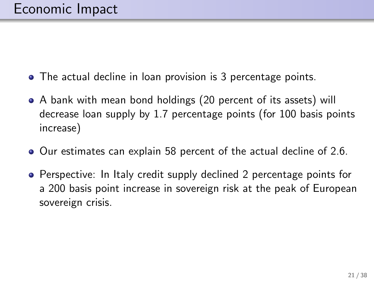- The actual decline in loan provision is 3 percentage points.
- A bank with mean bond holdings (20 percent of its assets) will decrease loan supply by 1.7 percentage points (for 100 basis points increase)
- Our estimates can explain 58 percent of the actual decline of 2.6.
- Perspective: In Italy credit supply declined 2 percentage points for a 200 basis point increase in sovereign risk at the peak of European sovereign crisis.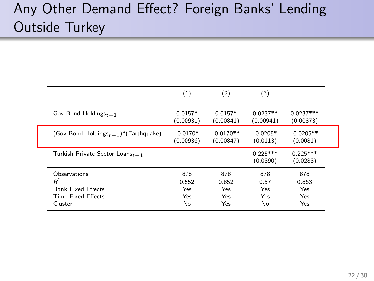## Any Other Demand Effect? Foreign Banks' Lending Outside Turkey

|                                                    | (1)        | (2)         | (3)                    |                        |
|----------------------------------------------------|------------|-------------|------------------------|------------------------|
| Gov Bond Holdings $t_{r-1}$                        | $0.0157*$  | $0.0157*$   | $0.0237**$             | $0.0237***$            |
|                                                    | (0.00931)  | (0.00841)   | (0.00941)              | (0.00873)              |
| (Gov Bond Holdings <sub>t -1</sub> )* (Earthquake) | $-0.0170*$ | $-0.0170**$ | $-0.0205*$             | $-0.0205**$            |
|                                                    | (0.00936)  | (0.00847)   | (0.0113)               | (0.0081)               |
| Turkish Private Sector Loans $t-1$                 |            |             | $0.225***$<br>(0.0390) | $0.225***$<br>(0.0283) |
| Observations                                       | 878        | 878         | 878                    | 878                    |
| $R^2$                                              | 0.552      | 0.852       | 0.57                   | 0.863                  |
| <b>Bank Fixed Effects</b>                          | Yes        | Yes         | Yes                    | Yes                    |
| <b>Time Fixed Effects</b>                          | Yes        | Yes         | Yes                    | Yes                    |
| Cluster                                            | No         | Yes         | No                     | Yes                    |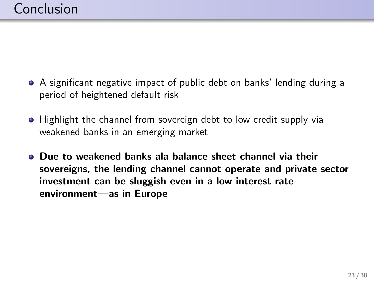- A significant negative impact of public debt on banks' lending during a period of heightened default risk
- Highlight the channel from sovereign debt to low credit supply via weakened banks in an emerging market
- Due to weakened banks ala balance sheet channel via their sovereigns, the lending channel cannot operate and private sector investment can be sluggish even in a low interest rate environment—as in Europe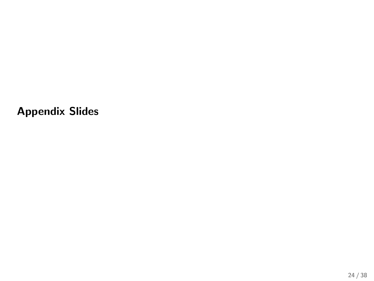Appendix Slides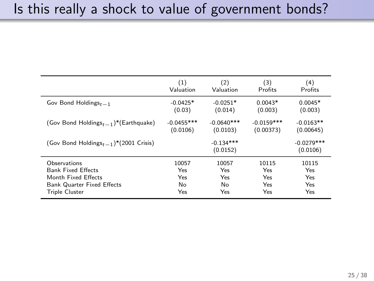## Is this really a shock to value of government bonds?

|                                                    | (1)          | (2)                     | (3)          | (4)                      |
|----------------------------------------------------|--------------|-------------------------|--------------|--------------------------|
|                                                    | Valuation    | Valuation               | Profits      | Profits                  |
| Gov Bond Holdings $t_{-1}$                         | $-0.0425*$   | $-0.0251*$              | $0.0043*$    | $0.0045*$                |
|                                                    | (0.03)       | (0.014)                 | (0.003)      | (0.003)                  |
| (Gov Bond Holdings $_{t=1}$ )*(Earthquake)         | $-0.0455***$ | $-0.0640***$            | $-0.0159***$ | $-0.0163**$              |
|                                                    | (0.0106)     | (0.0103)                | (0.00373)    | (0.00645)                |
| (Gov Bond Holdings <sub>t -1</sub> )*(2001 Crisis) |              | $-0.134***$<br>(0.0152) |              | $-0.0279***$<br>(0.0106) |
| Observations                                       | 10057        | 10057                   | 10115        | 10115                    |
| <b>Bank Fixed Effects</b>                          | Yes          | Yes                     | Yes          | Yes                      |
| Month Fixed Effects                                | Yes          | Yes                     | Yes          | Yes                      |
| <b>Bank Quarter Fixed Effects</b>                  | No           | No                      | Yes          | Yes                      |
| <b>Triple Cluster</b>                              | Yes          | Yes                     | Yes          | Yes                      |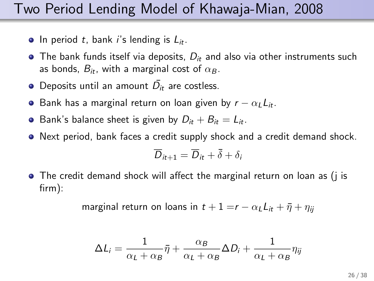## Two Period Lending Model of Khawaja-Mian, 2008

- $\bullet$  In period t, bank *i*'s lending is  $L_{it}$ .
- $\bullet$  The bank funds itself via deposits,  $D_{it}$  and also via other instruments such as bonds,  $B_{it}$ , with a marginal cost of  $\alpha_B$ .
- Deposits until an amount  $\bar{D_{it}}$  are costless.
- **•** Bank has a marginal return on loan given by  $r \alpha_L L_{it}$ .
- Bank's balance sheet is given by  $D_{it} + B_{it} = L_{it}$ .
- Next period, bank faces a credit supply shock and a credit demand shock.

$$
\overline{D}_{it+1} = \overline{D}_{it} + \overline{\delta} + \delta_i
$$

 $\bullet$  The credit demand shock will affect the marginal return on loan as (j is firm):

marginal return on loans in  $t + 1 = r - \alpha_L L_{it} + \bar{\eta} + \eta_{ii}$ 

$$
\Delta L_i = \frac{1}{\alpha_L + \alpha_B} \bar{\eta} + \frac{\alpha_B}{\alpha_L + \alpha_B} \Delta D_i + \frac{1}{\alpha_L + \alpha_B} \eta_{ij}
$$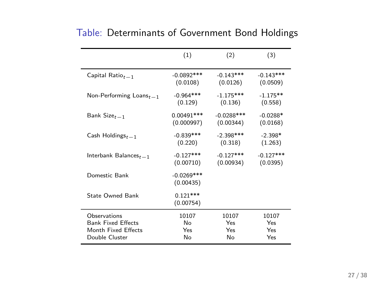|                                | (1)                       | (2)           | (3)         |
|--------------------------------|---------------------------|---------------|-------------|
| Capital Ratio $t_{-1}$         | $-0.0892***$              | $-0.143***$   | $-0.143***$ |
|                                | (0.0108)                  | (0.0126)      | (0.0509)    |
| Non-Performing Loans $t_{r-1}$ | $-0.964***$               | $-1.175***$   | $-1.175**$  |
|                                | (0.129)                   | (0.136)       | (0.558)     |
| Bank Size $_{t-1}$             | $0.00491***$              | $-0.0288$ *** | $-0.0288*$  |
|                                | (0.000997)                | (0.00344)     | (0.0168)    |
| Cash Holdings $t_{-1}$         | $-0.839***$               | $-2.398***$   | $-2.398*$   |
|                                | (0.220)                   | (0.318)       | (1.263)     |
| Interbank Balances $t-1$       | $-0.127***$               | $-0.127***$   | $-0.127***$ |
|                                | (0.00710)                 | (0.00934)     | (0.0395)    |
| Domestic Bank                  | $-0.0269***$<br>(0.00435) |               |             |
| <b>State Owned Bank</b>        | $0.121***$<br>(0.00754)   |               |             |
| Observations                   | 10107                     | 10107         | 10107       |
| <b>Bank Fixed Effects</b>      | N٥                        | Yes           | Yes         |
| Month Fixed Effects            | Yes                       | Yes           | Yes         |
| Double Cluster                 | No                        | No            | Yes         |

#### Table: Determinants of Government Bond Holdings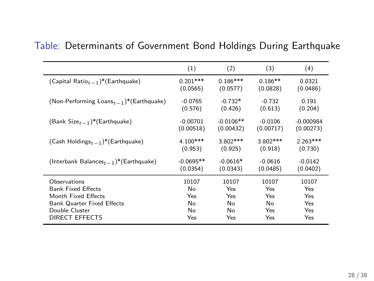|                                                   | (1)         | (2)         | (3)        | (4)         |
|---------------------------------------------------|-------------|-------------|------------|-------------|
| $(Capital Ratiot-1)*(Earthquake)$                 | $0.201***$  | $0.186***$  | $0.186**$  | 0.0321      |
|                                                   | (0.0565)    | (0.0577)    | (0.0828)   | (0.0486)    |
| (Non-Performing Loans $_{t-1}$ )*(Earthquake)     | $-0.0765$   | $-0.732*$   | $-0.732$   | 0.191       |
|                                                   | (0.576)     | (0.426)     | (0.613)    | (0.204)     |
| (Bank Size $_{t-1}$ )*(Earthquake)                | $-0.00701$  | $-0.0106**$ | $-0.0106$  | $-0.000984$ |
|                                                   | (0.00518)   | (0.00432)   | (0.00717)  | (0.00273)   |
| (Cash Holdings <sub>t-1</sub> )*(Earthquake)      | $4.100***$  | $3.802***$  | $3.802***$ | $2.263***$  |
|                                                   | (0.953)     | (0.925)     | (0.918)    | (0.730)     |
| (Interbank Balances <sub>t-1</sub> )*(Earthquake) | $-0.0695**$ | $-0.0616*$  | $-0.0616$  | $-0.0142$   |
|                                                   | (0.0354)    | (0.0343)    | (0.0485)   | (0.0402)    |
| Observations                                      | 10107       | 10107       | 10107      | 10107       |
| <b>Bank Fixed Effects</b>                         | No          | Yes         | Yes        | Yes         |
| Month Fixed Effects                               | Yes         | Yes         | Yes        | Yes         |
| <b>Bank Quarter Fixed Effects</b>                 | No          | No          | No         | Yes         |
| Double Cluster                                    | No          | No          | Yes        | Yes         |
| DIRECT EFFECTS                                    | Yes         | Yes         | Yes        | Yes         |

#### Table: Determinants of Government Bond Holdings During Earthquake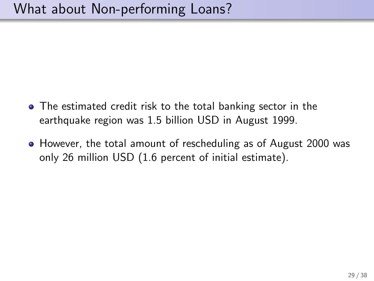- The estimated credit risk to the total banking sector in the earthquake region was 1.5 billion USD in August 1999.
- However, the total amount of rescheduling as of August 2000 was only 26 million USD (1.6 percent of initial estimate).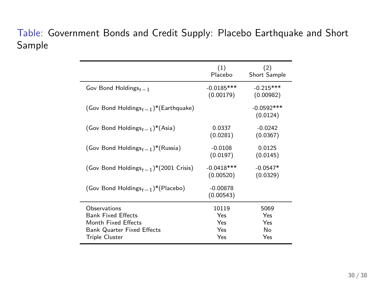#### Table: Government Bonds and Credit Supply: Placebo Earthquake and Short Sample

|                                                                                                                                | (1)<br>Placebo                    | (2)<br>Short Sample             |
|--------------------------------------------------------------------------------------------------------------------------------|-----------------------------------|---------------------------------|
| Gov Bond Holdings $_{t=1}$                                                                                                     | $-0.0185***$<br>(0.00179)         | $-0.215***$<br>(0.00982)        |
| (Gov Bond Holdings <sub>t -1</sub> )*(Earthquake)                                                                              |                                   | $-0.0592***$<br>(0.0124)        |
| (Gov Bond Holdings $_{t=1}$ )*(Asia)                                                                                           | 0.0337<br>(0.0281)                | $-0.0242$<br>(0.0367)           |
| (Gov Bond Holdings <sub>t - 1</sub> )* (Russia)                                                                                | $-0.0108$<br>(0.0197)             | 0.0125<br>(0.0145)              |
| (Gov Bond Holdings $_{t=1}$ )*(2001 Crisis)                                                                                    | $-0.0418***$<br>(0.00520)         | $-0.0547*$<br>(0.0329)          |
| (Gov Bond Holdings $_{t=1}$ )*(Placebo)                                                                                        | $-0.00878$<br>(0.00543)           |                                 |
| Observations<br><b>Bank Fixed Effects</b><br>Month Fixed Effects<br><b>Bank Quarter Fixed Effects</b><br><b>Triple Cluster</b> | 10119<br>Yes<br>Yes<br>Yes<br>Yes | 5069<br>Yes<br>Yes<br>No<br>Yes |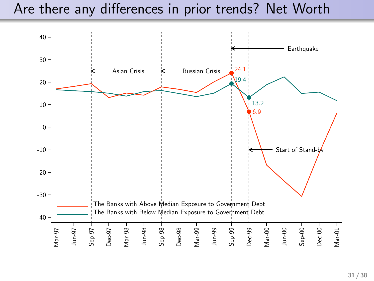### Are there any differences in prior trends? Net Worth

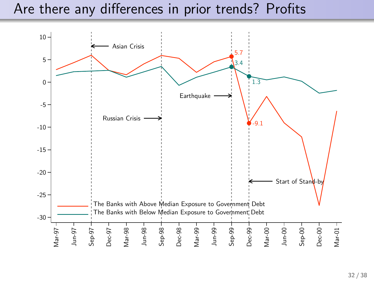### Are there any differences in prior trends? Profits

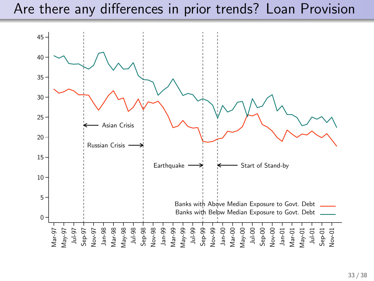### Are there any differences in prior trends? Loan Provision

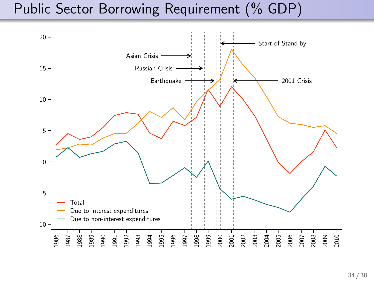## Public Sector Borrowing Requirement (% GDP)

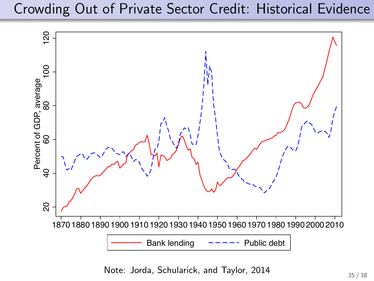## Crowding Out of Private Sector Credit: Historical Evidence



Note: Jorda, Schularick, and Taylor, 2014  $35/38$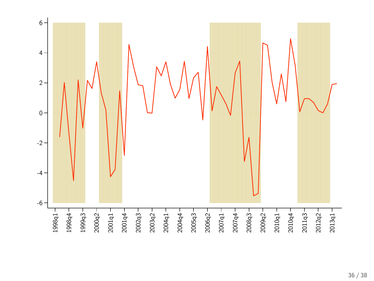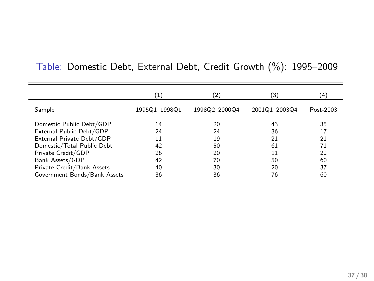|                              | (1)           | (2)           | (3)           | (4)       |
|------------------------------|---------------|---------------|---------------|-----------|
| Sample                       | 1995Q1-1998Q1 | 1998Q2-2000Q4 | 2001Q1-2003Q4 | Post-2003 |
| Domestic Public Debt/GDP     | 14            | 20            | 43            | 35        |
| External Public Debt/GDP     | 24            | 24            | 36            | 17        |
| External Private Debt/GDP    | 11            | 19            | 21            | 21        |
| Domestic/Total Public Debt   | 42            | 50            | 61            | 71        |
| Private Credit/GDP           | 26            | 20            | 11            | 22        |
| Bank Assets/GDP              | 42            | 70            | 50            | 60        |
| Private Credit/Bank Assets   | 40            | 30            | 20            | 37        |
| Government Bonds/Bank Assets | 36            | 36            | 76            | 60        |

#### Table: Domestic Debt, External Debt, Credit Growth (%): 1995–2009